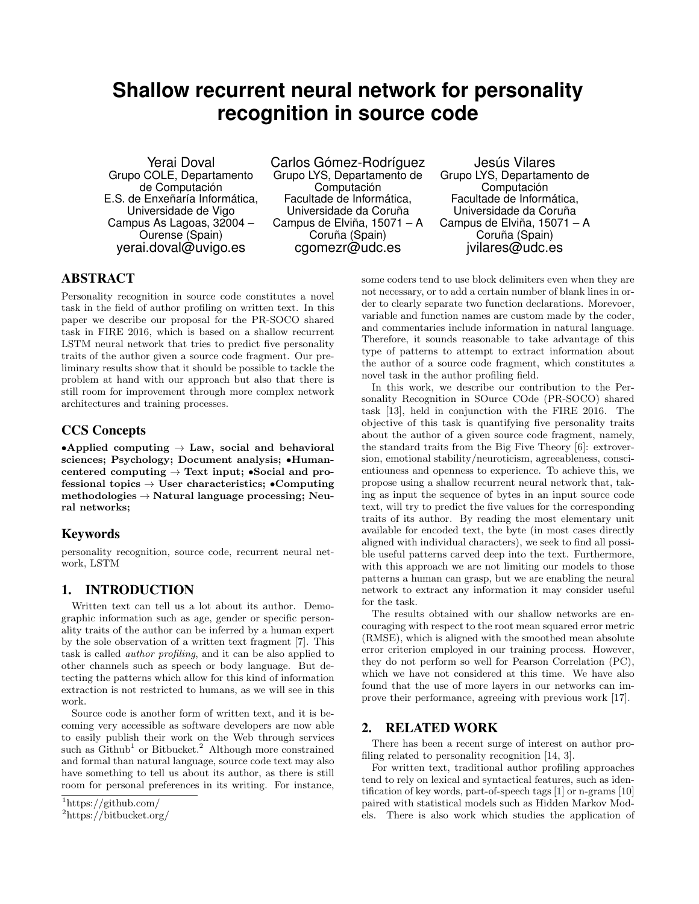# **Shallow recurrent neural network for personality recognition in source code**

Yerai Doval Grupo COLE, Departamento de Computación E.S. de Enxeñaría Informática, Universidade de Vigo Campus As Lagoas, 32004 – Ourense (Spain) yerai.doval@uvigo.es

Carlos Gómez-Rodríguez Grupo LYS, Departamento de Computación Facultade de Informática, Universidade da Coruña Campus de Elviña, 15071 – A Coruña (Spain) cgomezr@udc.es

Jesús Vilares Grupo LYS, Departamento de Computación Facultade de Informática, Universidade da Coruña Campus de Elviña, 15071 – A Coruña (Spain) jvilares@udc.es

# ABSTRACT

Personality recognition in source code constitutes a novel task in the field of author profiling on written text. In this paper we describe our proposal for the PR-SOCO shared task in FIRE 2016, which is based on a shallow recurrent LSTM neural network that tries to predict five personality traits of the author given a source code fragment. Our preliminary results show that it should be possible to tackle the problem at hand with our approach but also that there is still room for improvement through more complex network architectures and training processes.

## CCS Concepts

•Applied computing  $\rightarrow$  Law, social and behavioral sciences; Psychology; Document analysis; •Humancentered computing  $\rightarrow$  Text input; •Social and professional topics  $\rightarrow$  User characteristics; •Computing  $methodologies \rightarrow Natural$  language processing; Neural networks;

# Keywords

personality recognition, source code, recurrent neural network, LSTM

## 1. INTRODUCTION

Written text can tell us a lot about its author. Demographic information such as age, gender or specific personality traits of the author can be inferred by a human expert by the sole observation of a written text fragment [7]. This task is called author profiling, and it can be also applied to other channels such as speech or body language. But detecting the patterns which allow for this kind of information extraction is not restricted to humans, as we will see in this work.

Source code is another form of written text, and it is becoming very accessible as software developers are now able to easily publish their work on the Web through services such as  $Github<sup>1</sup>$  or Bitbucket.<sup>2</sup> Although more constrained and formal than natural language, source code text may also have something to tell us about its author, as there is still room for personal preferences in its writing. For instance, some coders tend to use block delimiters even when they are not necessary, or to add a certain number of blank lines in order to clearly separate two function declarations. Morevoer, variable and function names are custom made by the coder, and commentaries include information in natural language. Therefore, it sounds reasonable to take advantage of this type of patterns to attempt to extract information about the author of a source code fragment, which constitutes a novel task in the author profiling field.

In this work, we describe our contribution to the Personality Recognition in SOurce COde (PR-SOCO) shared task [13], held in conjunction with the FIRE 2016. The objective of this task is quantifying five personality traits about the author of a given source code fragment, namely, the standard traits from the Big Five Theory [6]: extroversion, emotional stability/neuroticism, agreeableness, conscientiouness and openness to experience. To achieve this, we propose using a shallow recurrent neural network that, taking as input the sequence of bytes in an input source code text, will try to predict the five values for the corresponding traits of its author. By reading the most elementary unit available for encoded text, the byte (in most cases directly aligned with individual characters), we seek to find all possible useful patterns carved deep into the text. Furthermore, with this approach we are not limiting our models to those patterns a human can grasp, but we are enabling the neural network to extract any information it may consider useful for the task.

The results obtained with our shallow networks are encouraging with respect to the root mean squared error metric (RMSE), which is aligned with the smoothed mean absolute error criterion employed in our training process. However, they do not perform so well for Pearson Correlation (PC), which we have not considered at this time. We have also found that the use of more layers in our networks can improve their performance, agreeing with previous work [17].

## 2. RELATED WORK

There has been a recent surge of interest on author profiling related to personality recognition [14, 3].

For written text, traditional author profiling approaches tend to rely on lexical and syntactical features, such as identification of key words, part-of-speech tags [1] or n-grams [10] paired with statistical models such as Hidden Markov Models. There is also work which studies the application of

<sup>1</sup>https://github.com/

<sup>2</sup>https://bitbucket.org/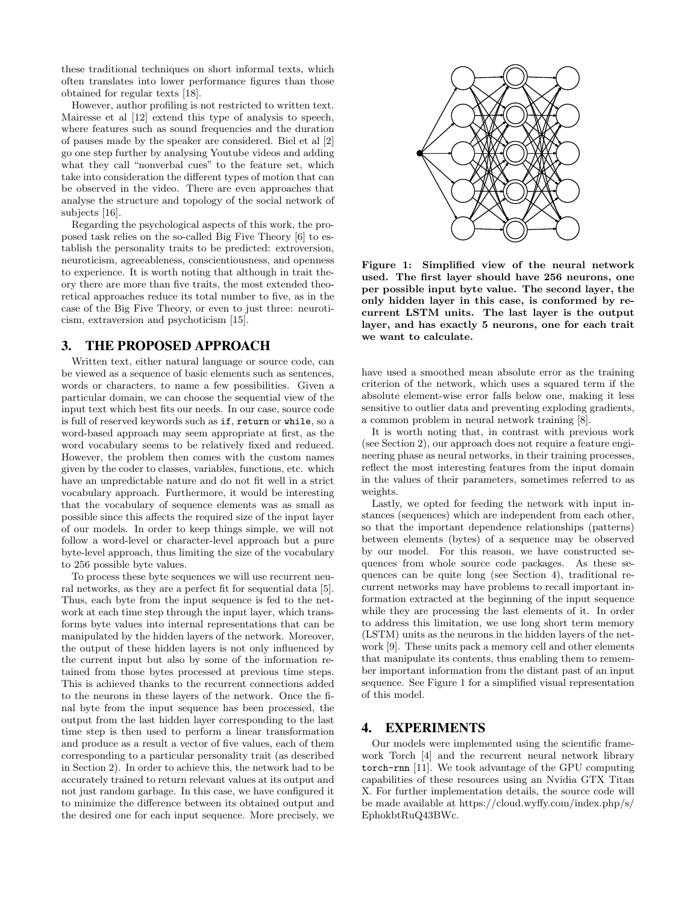these traditional techniques on short informal texts, which often translates into lower performance figures than those obtained for regular texts [18].

However, author profiling is not restricted to written text. Mairesse et al [12] extend this type of analysis to speech, where features such as sound frequencies and the duration of pauses made by the speaker are considered. Biel et al [2] go one step further by analysing Youtube videos and adding what they call "nonverbal cues" to the feature set, which take into consideration the different types of motion that can be observed in the video. There are even approaches that analyse the structure and topology of the social network of subjects [16].

Regarding the psychological aspects of this work, the proposed task relies on the so-called Big Five Theory [6] to establish the personality traits to be predicted: extroversion, neuroticism, agreeableness, conscientiousness, and openness to experience. It is worth noting that although in trait theory there are more than five traits, the most extended theoretical approaches reduce its total number to five, as in the case of the Big Five Theory, or even to just three: neuroticism, extraversion and psychoticism [15].

#### 3. THE PROPOSED APPROACH

Written text, either natural language or source code, can be viewed as a sequence of basic elements such as sentences, words or characters, to name a few possibilities. Given a particular domain, we can choose the sequential view of the input text which best fits our needs. In our case, source code is full of reserved keywords such as if, return or while, so a word-based approach may seem appropriate at first, as the word vocabulary seems to be relatively fixed and reduced. However, the problem then comes with the custom names given by the coder to classes, variables, functions, etc. which have an unpredictable nature and do not fit well in a strict vocabulary approach. Furthermore, it would be interesting that the vocabulary of sequence elements was as small as possible since this affects the required size of the input layer of our models. In order to keep things simple, we will not follow a word-level or character-level approach but a pure byte-level approach, thus limiting the size of the vocabulary to 256 possible byte values.

To process these byte sequences we will use recurrent neural networks, as they are a perfect fit for sequential data [5]. Thus, each byte from the input sequence is fed to the network at each time step through the input layer, which transforms byte values into internal representations that can be manipulated by the hidden layers of the network. Moreover, the output of these hidden layers is not only influenced by the current input but also by some of the information retained from those bytes processed at previous time steps. This is achieved thanks to the recurrent connections added to the neurons in these layers of the network. Once the final byte from the input sequence has been processed, the output from the last hidden layer corresponding to the last time step is then used to perform a linear transformation and produce as a result a vector of five values, each of them corresponding to a particular personality trait (as described in Section 2). In order to achieve this, the network had to be accurately trained to return relevant values at its output and not just random garbage. In this case, we have configured it to minimize the difference between its obtained output and the desired one for each input sequence. More precisely, we



Figure 1: Simplified view of the neural network used. The first layer should have 256 neurons, one per possible input byte value. The second layer, the only hidden layer in this case, is conformed by recurrent LSTM units. The last layer is the output layer, and has exactly 5 neurons, one for each trait we want to calculate.

have used a smoothed mean absolute error as the training criterion of the network, which uses a squared term if the absolute element-wise error falls below one, making it less sensitive to outlier data and preventing exploding gradients, a common problem in neural network training [8].

It is worth noting that, in contrast with previous work (see Section 2), our approach does not require a feature engineering phase as neural networks, in their training processes, reflect the most interesting features from the input domain in the values of their parameters, sometimes referred to as weights.

Lastly, we opted for feeding the network with input instances (sequences) which are independent from each other, so that the important dependence relationships (patterns) between elements (bytes) of a sequence may be observed by our model. For this reason, we have constructed sequences from whole source code packages. As these sequences can be quite long (see Section 4), traditional recurrent networks may have problems to recall important information extracted at the beginning of the input sequence while they are processing the last elements of it. In order to address this limitation, we use long short term memory (LSTM) units as the neurons in the hidden layers of the network [9]. These units pack a memory cell and other elements that manipulate its contents, thus enabling them to remember important information from the distant past of an input sequence. See Figure 1 for a simplified visual representation of this model.

## 4. EXPERIMENTS

Our models were implemented using the scientific framework Torch [4] and the recurrent neural network library torch-rnn [11]. We took advantage of the GPU computing capabilities of these resources using an Nvidia GTX Titan X. For further implementation details, the source code will be made available at https://cloud.wyffy.com/index.php/s/ EphokbtRuQ43BWc.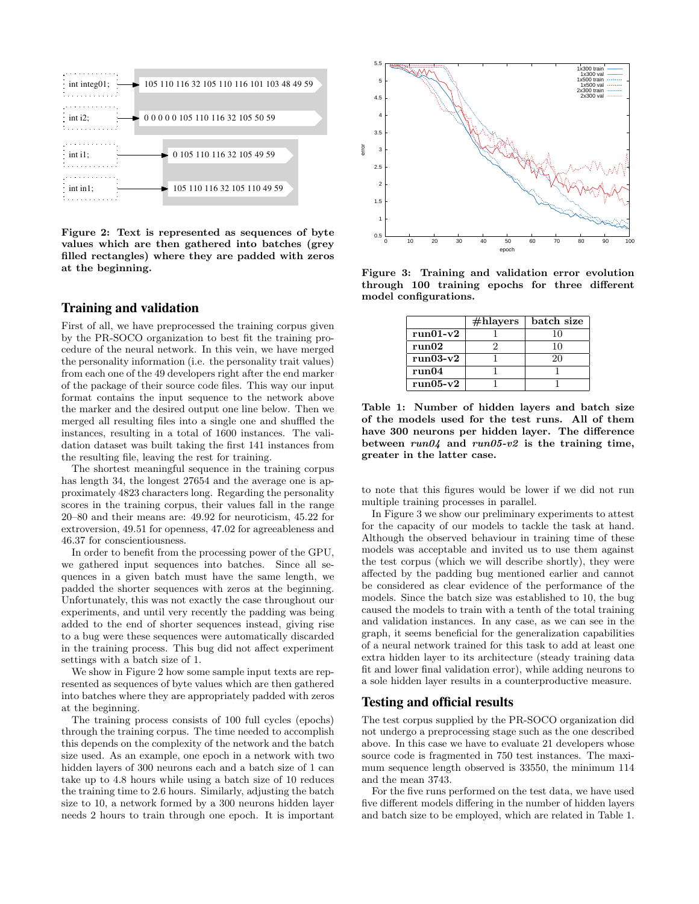

Figure 2: Text is represented as sequences of byte values which are then gathered into batches (grey filled rectangles) where they are padded with zeros at the beginning.

#### Training and validation

First of all, we have preprocessed the training corpus given by the PR-SOCO organization to best fit the training procedure of the neural network. In this vein, we have merged the personality information (i.e. the personality trait values) from each one of the 49 developers right after the end marker of the package of their source code files. This way our input format contains the input sequence to the network above the marker and the desired output one line below. Then we merged all resulting files into a single one and shuffled the instances, resulting in a total of 1600 instances. The validation dataset was built taking the first 141 instances from the resulting file, leaving the rest for training.

The shortest meaningful sequence in the training corpus has length 34, the longest 27654 and the average one is approximately 4823 characters long. Regarding the personality scores in the training corpus, their values fall in the range 20–80 and their means are: 49.92 for neuroticism, 45.22 for extroversion, 49.51 for openness, 47.02 for agreeableness and 46.37 for conscientiousness.

In order to benefit from the processing power of the GPU, we gathered input sequences into batches. Since all sequences in a given batch must have the same length, we padded the shorter sequences with zeros at the beginning. Unfortunately, this was not exactly the case throughout our experiments, and until very recently the padding was being added to the end of shorter sequences instead, giving rise to a bug were these sequences were automatically discarded in the training process. This bug did not affect experiment settings with a batch size of 1.

We show in Figure 2 how some sample input texts are represented as sequences of byte values which are then gathered into batches where they are appropriately padded with zeros at the beginning.

The training process consists of 100 full cycles (epochs) through the training corpus. The time needed to accomplish this depends on the complexity of the network and the batch size used. As an example, one epoch in a network with two hidden layers of 300 neurons each and a batch size of 1 can take up to 4.8 hours while using a batch size of 10 reduces the training time to 2.6 hours. Similarly, adjusting the batch size to 10, a network formed by a 300 neurons hidden layer needs 2 hours to train through one epoch. It is important



Figure 3: Training and validation error evolution through 100 training epochs for three different model configurations.

|            | $\#$ hlayers | batch size |
|------------|--------------|------------|
| $run01-v2$ |              | 10         |
| run02      |              | 10         |
| $run03-v2$ |              | 20         |
| run04      |              |            |
| $run05-v2$ |              |            |

Table 1: Number of hidden layers and batch size of the models used for the test runs. All of them have 300 neurons per hidden layer. The difference between  $run04$  and  $run05-v2$  is the training time, greater in the latter case.

to note that this figures would be lower if we did not run multiple training processes in parallel.

In Figure 3 we show our preliminary experiments to attest for the capacity of our models to tackle the task at hand. Although the observed behaviour in training time of these models was acceptable and invited us to use them against the test corpus (which we will describe shortly), they were affected by the padding bug mentioned earlier and cannot be considered as clear evidence of the performance of the models. Since the batch size was established to 10, the bug caused the models to train with a tenth of the total training and validation instances. In any case, as we can see in the graph, it seems beneficial for the generalization capabilities of a neural network trained for this task to add at least one extra hidden layer to its architecture (steady training data fit and lower final validation error), while adding neurons to a sole hidden layer results in a counterproductive measure.

#### Testing and official results

The test corpus supplied by the PR-SOCO organization did not undergo a preprocessing stage such as the one described above. In this case we have to evaluate 21 developers whose source code is fragmented in 750 test instances. The maximum sequence length observed is 33550, the minimum 114 and the mean 3743.

For the five runs performed on the test data, we have used five different models differing in the number of hidden layers and batch size to be employed, which are related in Table 1.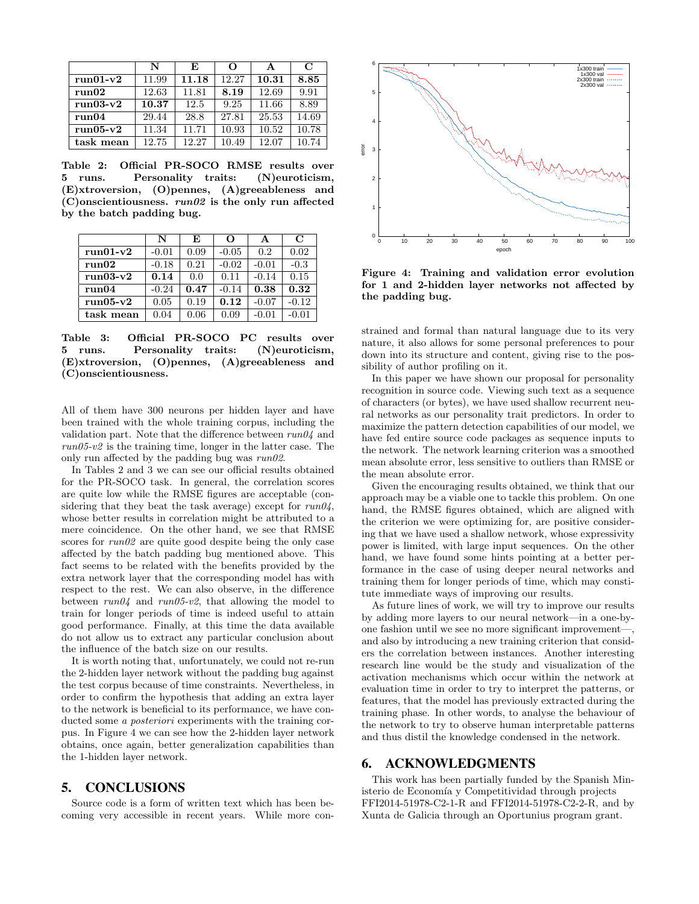|            | N     | E     | $\Omega$ | A     | $\mathbf C$ |
|------------|-------|-------|----------|-------|-------------|
| $run01-v2$ | 11.99 | 11.18 | 12.27    | 10.31 | 8.85        |
| run02      | 12.63 | 11.81 | 8.19     | 12.69 | 9.91        |
| $run03-v2$ | 10.37 | 12.5  | 9.25     | 11.66 | 8.89        |
| run04      | 29.44 | 28.8  | 27.81    | 25.53 | 14.69       |
| $run05-v2$ | 11.34 | 11.71 | 10.93    | 10.52 | 10.78       |
| task mean  | 12.75 | 12.27 | 10.49    | 12.07 | 10.74       |

Table 2: Official PR-SOCO RMSE results over 5 runs. Personality traits: (N)euroticism, (E)xtroversion, (O)pennes, (A)greeableness and  $(C)$ onscientiousness.  $run02$  is the only run affected by the batch padding bug.

|            | N       | E    | Ω       | A       | $\mathbf C$ |
|------------|---------|------|---------|---------|-------------|
| $run01-v2$ | $-0.01$ | 0.09 | $-0.05$ | 0.2     | 0.02        |
| run02      | $-0.18$ | 0.21 | $-0.02$ | $-0.01$ | $-0.3$      |
| $run03-v2$ | 0.14    | 0.0  | 0.11    | $-0.14$ | 0.15        |
| run04      | $-0.24$ | 0.47 | $-0.14$ | 0.38    | 0.32        |
| $run05-v2$ | 0.05    | 0.19 | 0.12    | $-0.07$ | $-0.12$     |
| task mean  | 0.04    | 0.06 | 0.09    | $-0.01$ | -0.01       |

Table 3: Official PR-SOCO PC results over 5 runs. Personality traits: (N)euroticism, (E)xtroversion, (O)pennes, (A)greeableness and (C)onscientiousness.

All of them have 300 neurons per hidden layer and have been trained with the whole training corpus, including the validation part. Note that the difference between  $run04$  and  $run05-v2$  is the training time, longer in the latter case. The only run affected by the padding bug was  $run02$ .

In Tables 2 and 3 we can see our official results obtained for the PR-SOCO task. In general, the correlation scores are quite low while the RMSE figures are acceptable (considering that they beat the task average) except for  $run04$ , whose better results in correlation might be attributed to a mere coincidence. On the other hand, we see that RMSE scores for  $run02$  are quite good despite being the only case affected by the batch padding bug mentioned above. This fact seems to be related with the benefits provided by the extra network layer that the corresponding model has with respect to the rest. We can also observe, in the difference between  $run04$  and  $run05-v2$ , that allowing the model to train for longer periods of time is indeed useful to attain good performance. Finally, at this time the data available do not allow us to extract any particular conclusion about the influence of the batch size on our results.

It is worth noting that, unfortunately, we could not re-run the 2-hidden layer network without the padding bug against the test corpus because of time constraints. Nevertheless, in order to confirm the hypothesis that adding an extra layer to the network is beneficial to its performance, we have conducted some *a posteriori* experiments with the training corpus. In Figure 4 we can see how the 2-hidden layer network obtains, once again, better generalization capabilities than the 1-hidden layer network.

#### 5. CONCLUSIONS

Source code is a form of written text which has been becoming very accessible in recent years. While more con-



Figure 4: Training and validation error evolution for 1 and 2-hidden layer networks not affected by the padding bug.

strained and formal than natural language due to its very nature, it also allows for some personal preferences to pour down into its structure and content, giving rise to the possibility of author profiling on it.

In this paper we have shown our proposal for personality recognition in source code. Viewing such text as a sequence of characters (or bytes), we have used shallow recurrent neural networks as our personality trait predictors. In order to maximize the pattern detection capabilities of our model, we have fed entire source code packages as sequence inputs to the network. The network learning criterion was a smoothed mean absolute error, less sensitive to outliers than RMSE or the mean absolute error.

Given the encouraging results obtained, we think that our approach may be a viable one to tackle this problem. On one hand, the RMSE figures obtained, which are aligned with the criterion we were optimizing for, are positive considering that we have used a shallow network, whose expressivity power is limited, with large input sequences. On the other hand, we have found some hints pointing at a better performance in the case of using deeper neural networks and training them for longer periods of time, which may constitute immediate ways of improving our results.

As future lines of work, we will try to improve our results by adding more layers to our neural network—in a one-byone fashion until we see no more significant improvement—, and also by introducing a new training criterion that considers the correlation between instances. Another interesting research line would be the study and visualization of the activation mechanisms which occur within the network at evaluation time in order to try to interpret the patterns, or features, that the model has previously extracted during the training phase. In other words, to analyse the behaviour of the network to try to observe human interpretable patterns and thus distil the knowledge condensed in the network.

#### 6. ACKNOWLEDGMENTS

This work has been partially funded by the Spanish Ministerio de Economía y Competitividad through projects FFI2014-51978-C2-1-R and FFI2014-51978-C2-2-R, and by Xunta de Galicia through an Oportunius program grant.